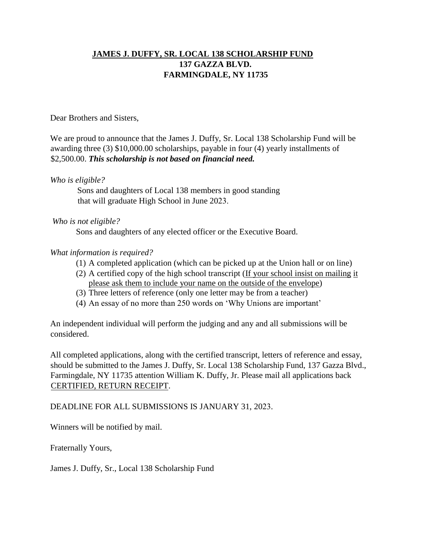## **JAMES J. DUFFY, SR. LOCAL 138 SCHOLARSHIP FUND 137 GAZZA BLVD. FARMINGDALE, NY 11735**

Dear Brothers and Sisters,

We are proud to announce that the James J. Duffy, Sr. Local 138 Scholarship Fund will be awarding three (3) \$10,000.00 scholarships, payable in four (4) yearly installments of \$2,500.00. *This scholarship is not based on financial need.*

*Who is eligible?*

Sons and daughters of Local 138 members in good standing that will graduate High School in June 2023.

*Who is not eligible?*

Sons and daughters of any elected officer or the Executive Board.

## *What information is required?*

- (1) A completed application (which can be picked up at the Union hall or on line)
- (2) A certified copy of the high school transcript (If your school insist on mailing it please ask them to include your name on the outside of the envelope)
- (3) Three letters of reference (only one letter may be from a teacher)
- (4) An essay of no more than 250 words on 'Why Unions are important'

An independent individual will perform the judging and any and all submissions will be considered.

All completed applications, along with the certified transcript, letters of reference and essay, should be submitted to the James J. Duffy, Sr. Local 138 Scholarship Fund, 137 Gazza Blvd., Farmingdale, NY 11735 attention William K. Duffy, Jr. Please mail all applications back CERTIFIED, RETURN RECEIPT.

DEADLINE FOR ALL SUBMISSIONS IS JANUARY 31, 2023.

Winners will be notified by mail.

Fraternally Yours,

James J. Duffy, Sr., Local 138 Scholarship Fund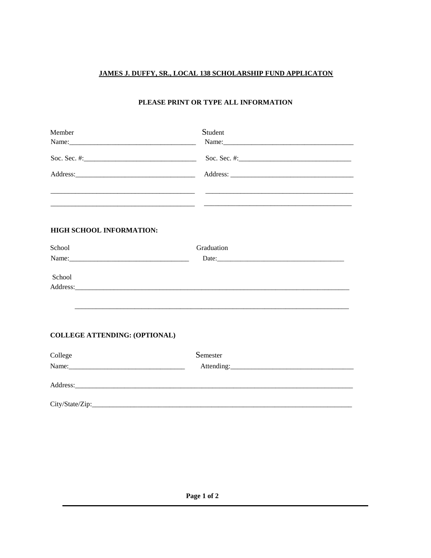## JAMES J. DUFFY, SR., LOCAL 138 SCHOLARSHIP FUND APPLICATON

## PLEASE PRINT OR TYPE ALL INFORMATION

| Member                               | Student                                                       |  |
|--------------------------------------|---------------------------------------------------------------|--|
|                                      |                                                               |  |
|                                      | Soc. Sec. #: $\qquad \qquad$                                  |  |
|                                      |                                                               |  |
|                                      | <u> 1989 - Jan James James, maria al-Amerikaan (h. 1988).</u> |  |
| <b>HIGH SCHOOL INFORMATION:</b>      |                                                               |  |
| School                               | Graduation                                                    |  |
|                                      |                                                               |  |
| School                               |                                                               |  |
|                                      |                                                               |  |
|                                      |                                                               |  |
|                                      |                                                               |  |
| <b>COLLEGE ATTENDING: (OPTIONAL)</b> |                                                               |  |
| College                              | Semester                                                      |  |
|                                      |                                                               |  |
|                                      |                                                               |  |
|                                      | City/State/Zip:                                               |  |